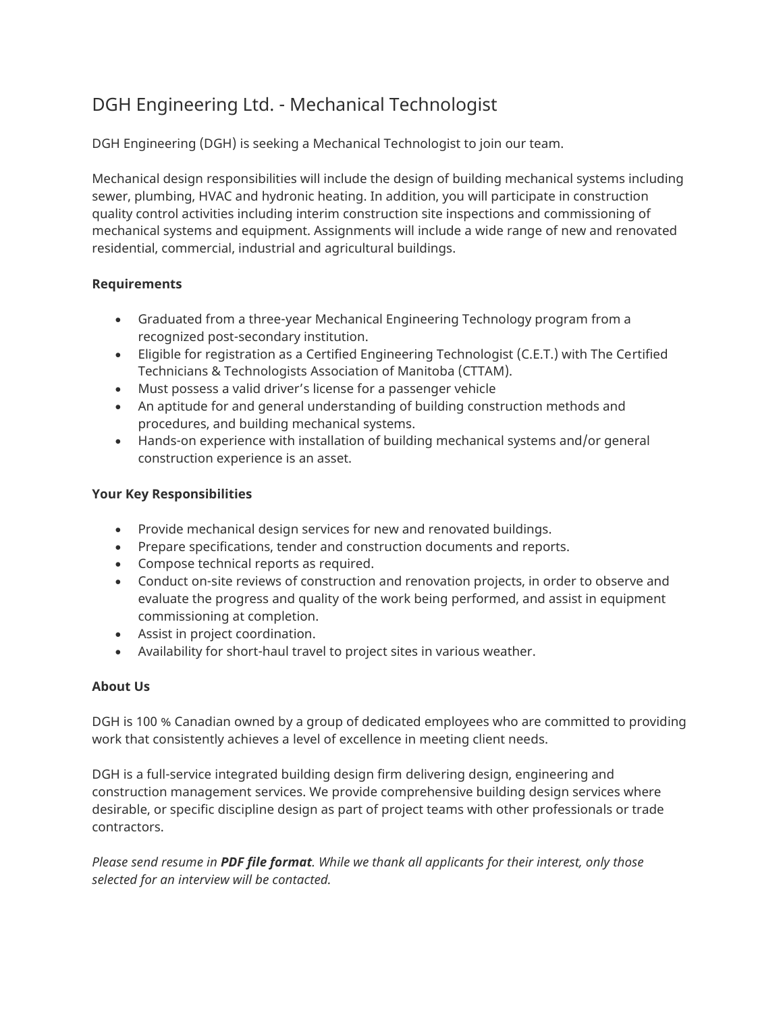## DGH Engineering Ltd. - Mechanical Technologist

DGH Engineering (DGH) is seeking a Mechanical Technologist to join our team.

Mechanical design responsibilities will include the design of building mechanical systems including sewer, plumbing, HVAC and hydronic heating. In addition, you will participate in construction quality control activities including interim construction site inspections and commissioning of mechanical systems and equipment. Assignments will include a wide range of new and renovated residential, commercial, industrial and agricultural buildings.

## **Requirements**

- Graduated from a three-year Mechanical Engineering Technology program from a recognized post-secondary institution.
- Eligible for registration as a Certified Engineering Technologist (C.E.T.) with The Certified Technicians & Technologists Association of Manitoba (CTTAM).
- Must possess a valid driver's license for a passenger vehicle
- An aptitude for and general understanding of building construction methods and procedures, and building mechanical systems.
- Hands-on experience with installation of building mechanical systems and/or general construction experience is an asset.

## **Your Key Responsibilities**

- Provide mechanical design services for new and renovated buildings.
- Prepare specifications, tender and construction documents and reports.
- Compose technical reports as required.
- Conduct on-site reviews of construction and renovation projects, in order to observe and evaluate the progress and quality of the work being performed, and assist in equipment commissioning at completion.
- Assist in project coordination.
- Availability for short-haul travel to project sites in various weather.

## **About Us**

DGH is 100 % Canadian owned by a group of dedicated employees who are committed to providing work that consistently achieves a level of excellence in meeting client needs.

DGH is a full-service integrated building design firm delivering design, engineering and construction management services. We provide comprehensive building design services where desirable, or specific discipline design as part of project teams with other professionals or trade contractors.

*Please send resume in PDF file format. While we thank all applicants for their interest, only those selected for an interview will be contacted.*